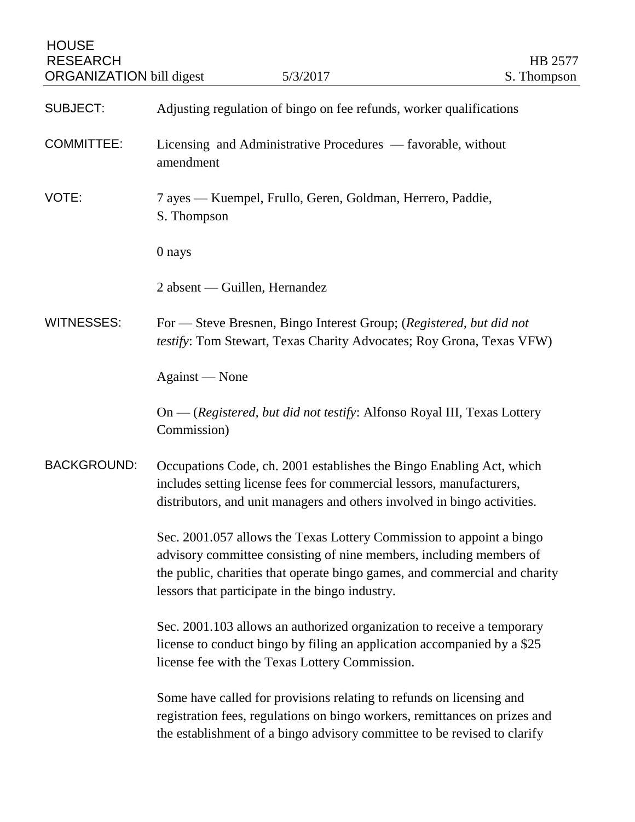| <b>HOUSE</b><br><b>RESEARCH</b><br><b>ORGANIZATION</b> bill digest | 5/3/2017                                                                                                                                                                                                                                                                     | HB 2577<br>S. Thompson |
|--------------------------------------------------------------------|------------------------------------------------------------------------------------------------------------------------------------------------------------------------------------------------------------------------------------------------------------------------------|------------------------|
| <b>SUBJECT:</b>                                                    | Adjusting regulation of bingo on fee refunds, worker qualifications                                                                                                                                                                                                          |                        |
| <b>COMMITTEE:</b>                                                  | Licensing and Administrative Procedures — favorable, without<br>amendment                                                                                                                                                                                                    |                        |
| VOTE:                                                              | 7 ayes — Kuempel, Frullo, Geren, Goldman, Herrero, Paddie,<br>S. Thompson                                                                                                                                                                                                    |                        |
|                                                                    | 0 nays                                                                                                                                                                                                                                                                       |                        |
|                                                                    | 2 absent — Guillen, Hernandez                                                                                                                                                                                                                                                |                        |
| <b>WITNESSES:</b>                                                  | For — Steve Bresnen, Bingo Interest Group; (Registered, but did not<br>testify: Tom Stewart, Texas Charity Advocates; Roy Grona, Texas VFW)                                                                                                                                  |                        |
|                                                                    | Against - None                                                                                                                                                                                                                                                               |                        |
|                                                                    | On — (Registered, but did not testify: Alfonso Royal III, Texas Lottery<br>Commission)                                                                                                                                                                                       |                        |
| <b>BACKGROUND:</b>                                                 | Occupations Code, ch. 2001 establishes the Bingo Enabling Act, which<br>includes setting license fees for commercial lessors, manufacturers,<br>distributors, and unit managers and others involved in bingo activities.                                                     |                        |
|                                                                    | Sec. 2001.057 allows the Texas Lottery Commission to appoint a bingo<br>advisory committee consisting of nine members, including members of<br>the public, charities that operate bingo games, and commercial and charity<br>lessors that participate in the bingo industry. |                        |
|                                                                    | Sec. 2001.103 allows an authorized organization to receive a temporary<br>license to conduct bingo by filing an application accompanied by a \$25<br>license fee with the Texas Lottery Commission.                                                                          |                        |
|                                                                    | Some have called for provisions relating to refunds on licensing and<br>registration fees, regulations on bingo workers, remittances on prizes and<br>the establishment of a bingo advisory committee to be revised to clarify                                               |                        |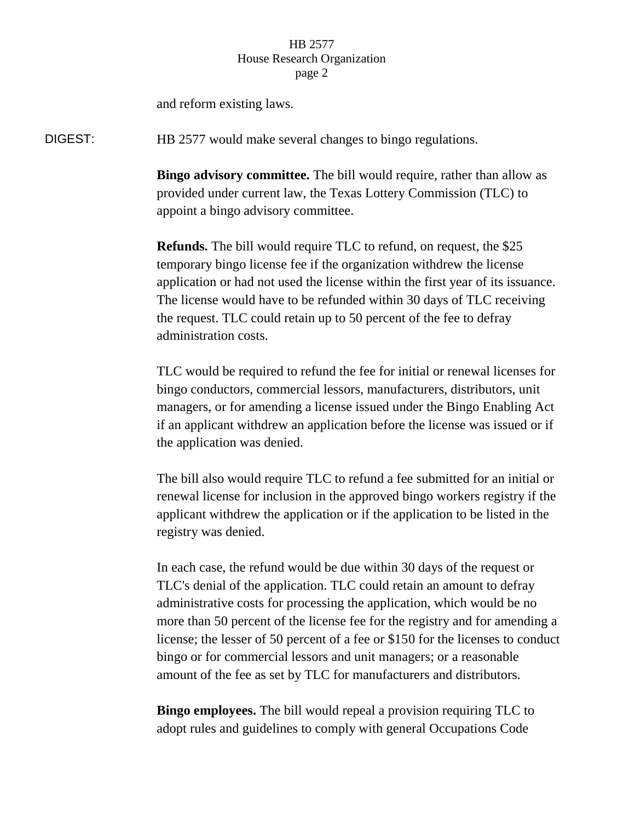## HB 2577 House Research Organization page 2

and reform existing laws.

DIGEST: HB 2577 would make several changes to bingo regulations.

**Bingo advisory committee.** The bill would require, rather than allow as provided under current law, the Texas Lottery Commission (TLC) to appoint a bingo advisory committee.

**Refunds.** The bill would require TLC to refund, on request, the \$25 temporary bingo license fee if the organization withdrew the license application or had not used the license within the first year of its issuance. The license would have to be refunded within 30 days of TLC receiving the request. TLC could retain up to 50 percent of the fee to defray administration costs.

TLC would be required to refund the fee for initial or renewal licenses for bingo conductors, commercial lessors, manufacturers, distributors, unit managers, or for amending a license issued under the Bingo Enabling Act if an applicant withdrew an application before the license was issued or if the application was denied.

The bill also would require TLC to refund a fee submitted for an initial or renewal license for inclusion in the approved bingo workers registry if the applicant withdrew the application or if the application to be listed in the registry was denied.

In each case, the refund would be due within 30 days of the request or TLC's denial of the application. TLC could retain an amount to defray administrative costs for processing the application, which would be no more than 50 percent of the license fee for the registry and for amending a license; the lesser of 50 percent of a fee or \$150 for the licenses to conduct bingo or for commercial lessors and unit managers; or a reasonable amount of the fee as set by TLC for manufacturers and distributors.

**Bingo employees.** The bill would repeal a provision requiring TLC to adopt rules and guidelines to comply with general Occupations Code